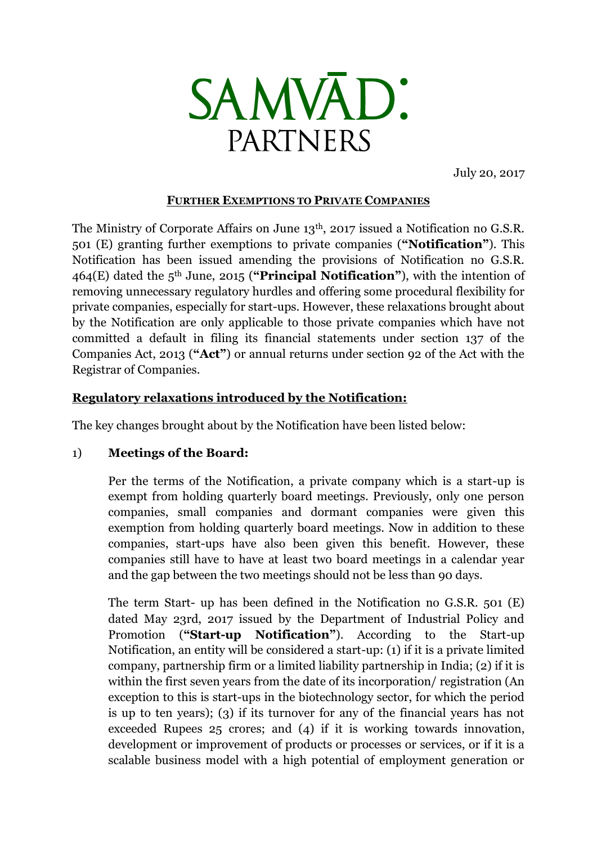

July 20, 2017

#### **FURTHER EXEMPTIONS TO PRIVATE COMPANIES**

The Ministry of Corporate Affairs on June 13th, 2017 issued a Notification no G.S.R. 501 (E) granting further exemptions to private companies (**"Notification"**). This Notification has been issued amending the provisions of Notification no G.S.R. 464(E) dated the 5th June, 2015 (**"Principal Notification"**), with the intention of removing unnecessary regulatory hurdles and offering some procedural flexibility for private companies, especially for start-ups. However, these relaxations brought about by the Notification are only applicable to those private companies which have not committed a default in filing its financial statements under section 137 of the Companies Act, 2013 (**"Act"**) or annual returns under section 92 of the Act with the Registrar of Companies.

# **Regulatory relaxations introduced by the Notification:**

The key changes brought about by the Notification have been listed below:

### 1) **Meetings of the Board:**

Per the terms of the Notification, a private company which is a start-up is exempt from holding quarterly board meetings. Previously, only one person companies, small companies and dormant companies were given this exemption from holding quarterly board meetings. Now in addition to these companies, start-ups have also been given this benefit. However, these companies still have to have at least two board meetings in a calendar year and the gap between the two meetings should not be less than 90 days.

The term Start- up has been defined in the Notification no G.S.R. 501 (E) dated May 23rd, 2017 issued by the Department of Industrial Policy and Promotion (**"Start-up Notification"**). According to the Start-up Notification, an entity will be considered a start-up: (1) if it is a private limited company, partnership firm or a limited liability partnership in India; (2) if it is within the first seven years from the date of its incorporation/ registration (An exception to this is start-ups in the biotechnology sector, for which the period is up to ten years); (3) if its turnover for any of the financial years has not exceeded Rupees 25 crores; and (4) if it is working towards innovation, development or improvement of products or processes or services, or if it is a scalable business model with a high potential of employment generation or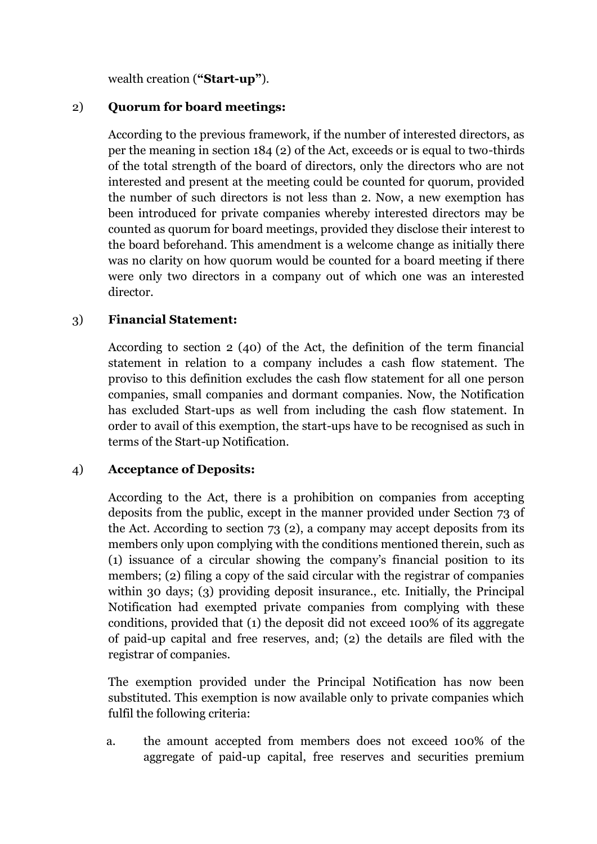wealth creation (**"Start-up"**).

### 2) **Quorum for board meetings:**

According to the previous framework, if the number of interested directors, as per the meaning in section 184 (2) of the Act, exceeds or is equal to two-thirds of the total strength of the board of directors, only the directors who are not interested and present at the meeting could be counted for quorum, provided the number of such directors is not less than 2. Now, a new exemption has been introduced for private companies whereby interested directors may be counted as quorum for board meetings, provided they disclose their interest to the board beforehand. This amendment is a welcome change as initially there was no clarity on how quorum would be counted for a board meeting if there were only two directors in a company out of which one was an interested director.

# 3) **Financial Statement:**

According to section 2 (40) of the Act, the definition of the term financial statement in relation to a company includes a cash flow statement. The proviso to this definition excludes the cash flow statement for all one person companies, small companies and dormant companies. Now, the Notification has excluded Start-ups as well from including the cash flow statement. In order to avail of this exemption, the start-ups have to be recognised as such in terms of the Start-up Notification.

### 4) **Acceptance of Deposits:**

According to the Act, there is a prohibition on companies from accepting deposits from the public, except in the manner provided under Section 73 of the Act. According to section 73 (2), a company may accept deposits from its members only upon complying with the conditions mentioned therein, such as (1) issuance of a circular showing the company's financial position to its members; (2) filing a copy of the said circular with the registrar of companies within 30 days; (3) providing deposit insurance., etc. Initially, the Principal Notification had exempted private companies from complying with these conditions, provided that (1) the deposit did not exceed 100% of its aggregate of paid-up capital and free reserves, and; (2) the details are filed with the registrar of companies.

The exemption provided under the Principal Notification has now been substituted. This exemption is now available only to private companies which fulfil the following criteria:

a. the amount accepted from members does not exceed 100% of the aggregate of paid-up capital, free reserves and securities premium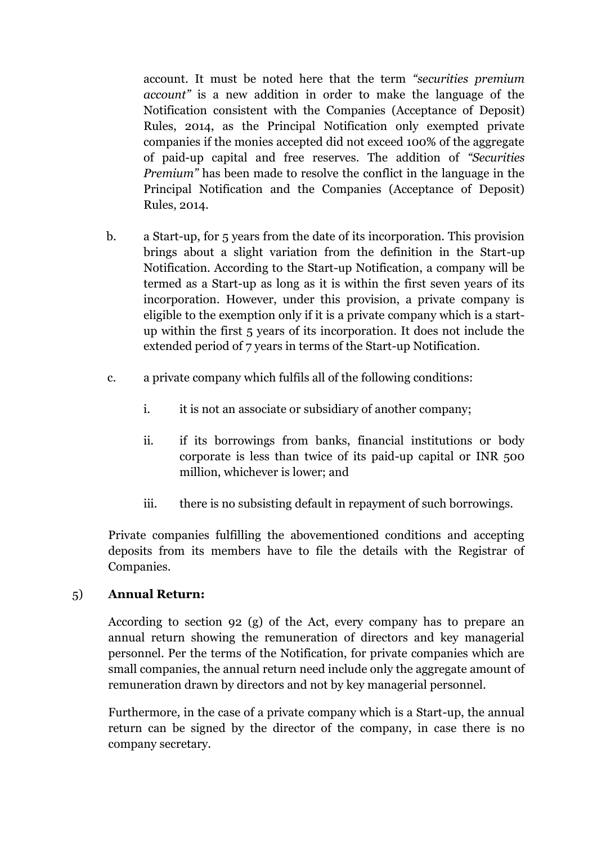account. It must be noted here that the term *"securities premium account"* is a new addition in order to make the language of the Notification consistent with the Companies (Acceptance of Deposit) Rules, 2014, as the Principal Notification only exempted private companies if the monies accepted did not exceed 100% of the aggregate of paid-up capital and free reserves. The addition of *"Securities Premium"* has been made to resolve the conflict in the language in the Principal Notification and the Companies (Acceptance of Deposit) Rules, 2014.

- b. a Start-up, for 5 years from the date of its incorporation. This provision brings about a slight variation from the definition in the Start-up Notification. According to the Start-up Notification, a company will be termed as a Start-up as long as it is within the first seven years of its incorporation. However, under this provision, a private company is eligible to the exemption only if it is a private company which is a startup within the first 5 years of its incorporation. It does not include the extended period of 7 years in terms of the Start-up Notification.
- c. a private company which fulfils all of the following conditions:
	- i. it is not an associate or subsidiary of another company;
	- ii. if its borrowings from banks, financial institutions or body corporate is less than twice of its paid-up capital or INR 500 million, whichever is lower; and
	- iii. there is no subsisting default in repayment of such borrowings.

Private companies fulfilling the abovementioned conditions and accepting deposits from its members have to file the details with the Registrar of Companies.

### 5) **Annual Return:**

According to section 92 (g) of the Act, every company has to prepare an annual return showing the remuneration of directors and key managerial personnel. Per the terms of the Notification, for private companies which are small companies, the annual return need include only the aggregate amount of remuneration drawn by directors and not by key managerial personnel.

Furthermore, in the case of a private company which is a Start-up, the annual return can be signed by the director of the company, in case there is no company secretary.